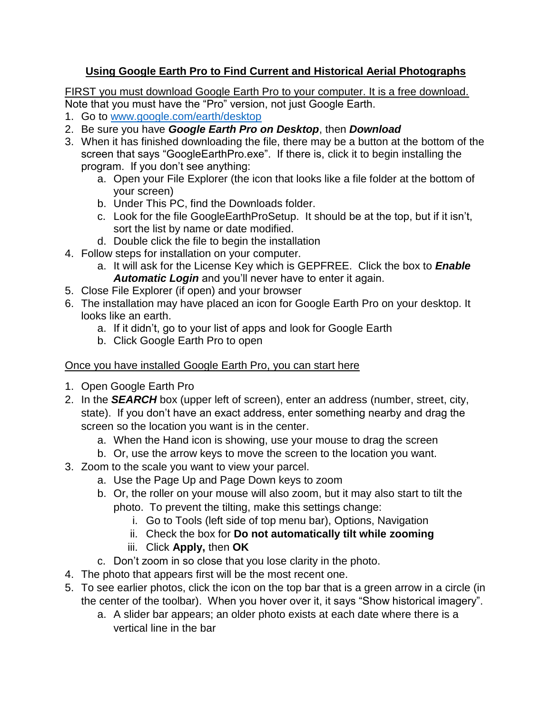## **Using Google Earth Pro to Find Current and Historical Aerial Photographs**

FIRST you must download Google Earth Pro to your computer. It is a free download. Note that you must have the "Pro" version, not just Google Earth.

- 
- 1. Go to [www.google.com/earth/desktop](http://www.google.com/earth/desktop)
- 2. Be sure you have *Google Earth Pro on Desktop*, then *Download*
- 3. When it has finished downloading the file, there may be a button at the bottom of the screen that says "GoogleEarthPro.exe". If there is, click it to begin installing the program. If you don't see anything:
	- a. Open your File Explorer (the icon that looks like a file folder at the bottom of your screen)
	- b. Under This PC, find the Downloads folder.
	- c. Look for the file GoogleEarthProSetup. It should be at the top, but if it isn't, sort the list by name or date modified.
	- d. Double click the file to begin the installation
- 4. Follow steps for installation on your computer.
	- a. It will ask for the License Key which is GEPFREE. Click the box to *Enable Automatic Login* and you'll never have to enter it again.
- 5. Close File Explorer (if open) and your browser
- 6. The installation may have placed an icon for Google Earth Pro on your desktop. It looks like an earth.
	- a. If it didn't, go to your list of apps and look for Google Earth
	- b. Click Google Earth Pro to open

## Once you have installed Google Earth Pro, you can start here

- 1. Open Google Earth Pro
- 2. In the *SEARCH* box (upper left of screen), enter an address (number, street, city, state). If you don't have an exact address, enter something nearby and drag the screen so the location you want is in the center.
	- a. When the Hand icon is showing, use your mouse to drag the screen
	- b. Or, use the arrow keys to move the screen to the location you want.
- 3. Zoom to the scale you want to view your parcel.
	- a. Use the Page Up and Page Down keys to zoom
	- b. Or, the roller on your mouse will also zoom, but it may also start to tilt the photo. To prevent the tilting, make this settings change:
		- i. Go to Tools (left side of top menu bar), Options, Navigation
		- ii. Check the box for **Do not automatically tilt while zooming**
		- iii. Click **Apply,** then **OK**
	- c. Don't zoom in so close that you lose clarity in the photo.
- 4. The photo that appears first will be the most recent one.
- 5. To see earlier photos, click the icon on the top bar that is a green arrow in a circle (in the center of the toolbar). When you hover over it, it says "Show historical imagery".
	- a. A slider bar appears; an older photo exists at each date where there is a vertical line in the bar